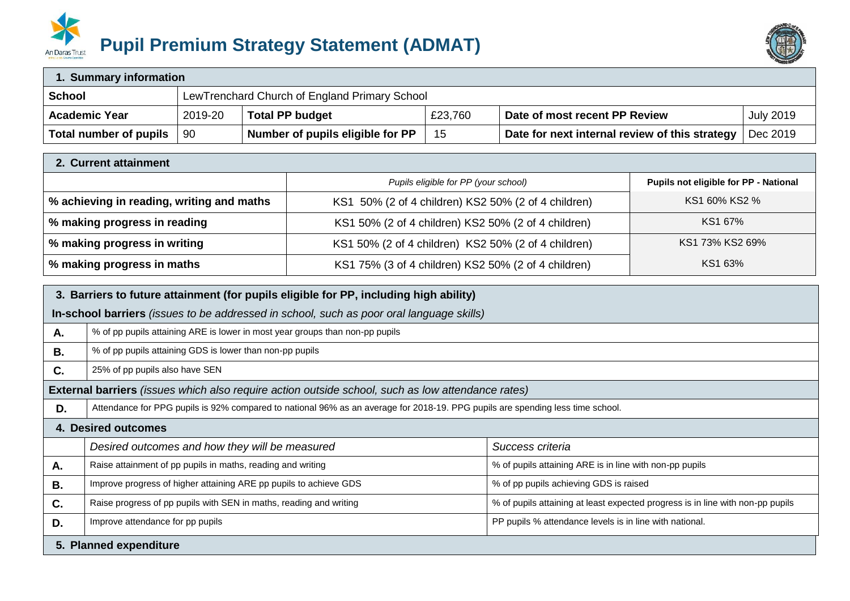



| 1. Summary information |                                               |                                  |         |                                                |                  |
|------------------------|-----------------------------------------------|----------------------------------|---------|------------------------------------------------|------------------|
| <b>School</b>          | LewTrenchard Church of England Primary School |                                  |         |                                                |                  |
| <b>Academic Year</b>   | 2019-20                                       | <b>Total PP budget</b>           | £23,760 | Date of most recent PP Review                  | <b>July 2019</b> |
| Total number of pupils | 90                                            | Number of pupils eligible for PP | 15      | Date for next internal review of this strategy | Dec 2019         |

| 2. Current attainment                     |                                                     |                                       |  |  |
|-------------------------------------------|-----------------------------------------------------|---------------------------------------|--|--|
|                                           | Pupils eligible for PP (your school)                | Pupils not eligible for PP - National |  |  |
| % achieving in reading, writing and maths | KS1 50% (2 of 4 children) KS2 50% (2 of 4 children) | KS1 60% KS2 %                         |  |  |
| % making progress in reading              | KS1 50% (2 of 4 children) KS2 50% (2 of 4 children) | KS1 67%                               |  |  |
| % making progress in writing              | KS1 50% (2 of 4 children) KS2 50% (2 of 4 children) | KS1 73% KS2 69%                       |  |  |
| % making progress in maths                | KS1 75% (3 of 4 children) KS2 50% (2 of 4 children) | KS1 63%                               |  |  |

|                        | 3. Barriers to future attainment (for pupils eligible for PP, including high ability)                                          |                                                                                |  |  |  |
|------------------------|--------------------------------------------------------------------------------------------------------------------------------|--------------------------------------------------------------------------------|--|--|--|
|                        | In-school barriers (issues to be addressed in school, such as poor oral language skills)                                       |                                                                                |  |  |  |
| Α.                     | % of pp pupils attaining ARE is lower in most year groups than non-pp pupils                                                   |                                                                                |  |  |  |
| <b>B.</b>              | % of pp pupils attaining GDS is lower than non-pp pupils                                                                       |                                                                                |  |  |  |
| C.                     | 25% of pp pupils also have SEN                                                                                                 |                                                                                |  |  |  |
|                        | <b>External barriers</b> (issues which also require action outside school, such as low attendance rates)                       |                                                                                |  |  |  |
| D.                     | Attendance for PPG pupils is 92% compared to national 96% as an average for 2018-19. PPG pupils are spending less time school. |                                                                                |  |  |  |
|                        | 4. Desired outcomes                                                                                                            |                                                                                |  |  |  |
|                        | Desired outcomes and how they will be measured                                                                                 | Success criteria                                                               |  |  |  |
| А.                     | Raise attainment of pp pupils in maths, reading and writing                                                                    | % of pupils attaining ARE is in line with non-pp pupils                        |  |  |  |
| Β.                     | Improve progress of higher attaining ARE pp pupils to achieve GDS                                                              | % of pp pupils achieving GDS is raised                                         |  |  |  |
| C.                     | Raise progress of pp pupils with SEN in maths, reading and writing                                                             | % of pupils attaining at least expected progress is in line with non-pp pupils |  |  |  |
| D.                     | Improve attendance for pp pupils                                                                                               | PP pupils % attendance levels is in line with national.                        |  |  |  |
| 5. Planned expenditure |                                                                                                                                |                                                                                |  |  |  |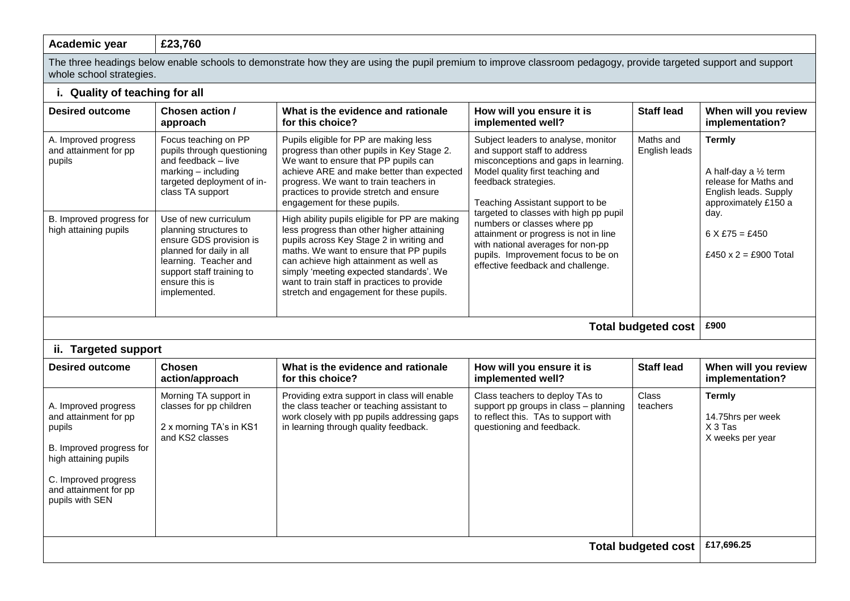## **Academic year £23,760**

The three headings below enable schools to demonstrate how they are using the pupil premium to improve classroom pedagogy, provide targeted support and support whole school strategies.

## **i. Quality of teaching for all**

| <b>Desired outcome</b>                                                                                                                                                           | Chosen action /<br>approach                                                                                                                                                                    | What is the evidence and rationale<br>for this choice?                                                                                                                                                                                                                                                                                                             | How will you ensure it is<br>implemented well?                                                                                                                                                                                 | <b>Staff lead</b>          | When will you review<br>implementation?                                                                                                                                         |  |
|----------------------------------------------------------------------------------------------------------------------------------------------------------------------------------|------------------------------------------------------------------------------------------------------------------------------------------------------------------------------------------------|--------------------------------------------------------------------------------------------------------------------------------------------------------------------------------------------------------------------------------------------------------------------------------------------------------------------------------------------------------------------|--------------------------------------------------------------------------------------------------------------------------------------------------------------------------------------------------------------------------------|----------------------------|---------------------------------------------------------------------------------------------------------------------------------------------------------------------------------|--|
| A. Improved progress<br>and attainment for pp<br>pupils                                                                                                                          | Focus teaching on PP<br>pupils through questioning<br>and feedback - live<br>marking - including<br>targeted deployment of in-<br>class TA support                                             | Pupils eligible for PP are making less<br>progress than other pupils in Key Stage 2.<br>We want to ensure that PP pupils can<br>achieve ARE and make better than expected<br>progress. We want to train teachers in<br>practices to provide stretch and ensure<br>engagement for these pupils.                                                                     | Subject leaders to analyse, monitor<br>and support staff to address<br>misconceptions and gaps in learning.<br>Model quality first teaching and<br>feedback strategies.<br>Teaching Assistant support to be                    | Maths and<br>English leads | <b>Termly</b><br>A half-day a $\frac{1}{2}$ term<br>release for Maths and<br>English leads. Supply<br>approximately £150 a<br>day.<br>$6 X £75 = £450$<br>£450 x 2 = £900 Total |  |
| B. Improved progress for<br>high attaining pupils                                                                                                                                | Use of new curriculum<br>planning structures to<br>ensure GDS provision is<br>planned for daily in all<br>learning. Teacher and<br>support staff training to<br>ensure this is<br>implemented. | High ability pupils eligible for PP are making<br>less progress than other higher attaining<br>pupils across Key Stage 2 in writing and<br>maths. We want to ensure that PP pupils<br>can achieve high attainment as well as<br>simply 'meeting expected standards'. We<br>want to train staff in practices to provide<br>stretch and engagement for these pupils. | targeted to classes with high pp pupil<br>numbers or classes where pp<br>attainment or progress is not in line<br>with national averages for non-pp<br>pupils. Improvement focus to be on<br>effective feedback and challenge. |                            |                                                                                                                                                                                 |  |
| <b>Total budgeted cost</b>                                                                                                                                                       |                                                                                                                                                                                                |                                                                                                                                                                                                                                                                                                                                                                    |                                                                                                                                                                                                                                |                            |                                                                                                                                                                                 |  |
| ii. Targeted support                                                                                                                                                             |                                                                                                                                                                                                |                                                                                                                                                                                                                                                                                                                                                                    |                                                                                                                                                                                                                                |                            |                                                                                                                                                                                 |  |
| <b>Desired outcome</b>                                                                                                                                                           | <b>Chosen</b><br>action/approach                                                                                                                                                               | What is the evidence and rationale<br>for this choice?                                                                                                                                                                                                                                                                                                             | How will you ensure it is<br>implemented well?                                                                                                                                                                                 | <b>Staff lead</b>          | When will you review<br>implementation?                                                                                                                                         |  |
| A. Improved progress<br>and attainment for pp<br>pupils<br>B. Improved progress for<br>high attaining pupils<br>C. Improved progress<br>and attainment for pp<br>pupils with SEN | Morning TA support in<br>classes for pp children<br>2 x morning TA's in KS1<br>and KS2 classes                                                                                                 | Providing extra support in class will enable<br>the class teacher or teaching assistant to<br>work closely with pp pupils addressing gaps<br>in learning through quality feedback.                                                                                                                                                                                 | Class teachers to deploy TAs to<br>support pp groups in class - planning<br>to reflect this. TAs to support with<br>questioning and feedback.                                                                                  | Class<br>teachers          | <b>Termly</b><br>14.75hrs per week<br>X 3 Tas<br>X weeks per year                                                                                                               |  |
| <b>Total budgeted cost</b>                                                                                                                                                       |                                                                                                                                                                                                |                                                                                                                                                                                                                                                                                                                                                                    |                                                                                                                                                                                                                                |                            | £17,696.25                                                                                                                                                                      |  |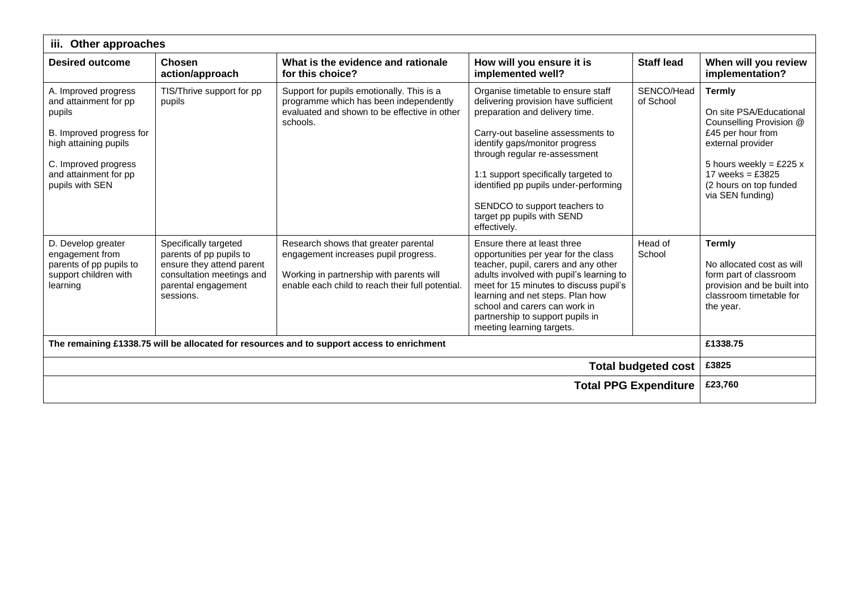| Other approaches<br>iii.                                                                                                                                                         |                                                                                                                                                |                                                                                                                                                                              |                                                                                                                                                                                                                                                                                                                                                                                      |                         |                                                                                                                                                                                                                |
|----------------------------------------------------------------------------------------------------------------------------------------------------------------------------------|------------------------------------------------------------------------------------------------------------------------------------------------|------------------------------------------------------------------------------------------------------------------------------------------------------------------------------|--------------------------------------------------------------------------------------------------------------------------------------------------------------------------------------------------------------------------------------------------------------------------------------------------------------------------------------------------------------------------------------|-------------------------|----------------------------------------------------------------------------------------------------------------------------------------------------------------------------------------------------------------|
| <b>Desired outcome</b>                                                                                                                                                           | Chosen<br>action/approach                                                                                                                      | What is the evidence and rationale<br>for this choice?                                                                                                                       | How will you ensure it is<br>implemented well?                                                                                                                                                                                                                                                                                                                                       | <b>Staff lead</b>       | When will you review<br>implementation?                                                                                                                                                                        |
| A. Improved progress<br>and attainment for pp<br>pupils<br>B. Improved progress for<br>high attaining pupils<br>C. Improved progress<br>and attainment for pp<br>pupils with SEN | TIS/Thrive support for pp<br>pupils                                                                                                            | Support for pupils emotionally. This is a<br>programme which has been independently<br>evaluated and shown to be effective in other<br>schools.                              | Organise timetable to ensure staff<br>delivering provision have sufficient<br>preparation and delivery time.<br>Carry-out baseline assessments to<br>identify gaps/monitor progress<br>through regular re-assessment<br>1:1 support specifically targeted to<br>identified pp pupils under-performing<br>SENDCO to support teachers to<br>target pp pupils with SEND<br>effectively. | SENCO/Head<br>of School | <b>Termly</b><br>On site PSA/Educational<br>Counselling Provision @<br>£45 per hour from<br>external provider<br>5 hours weekly = £225 $x$<br>17 weeks = $£3825$<br>(2 hours on top funded<br>via SEN funding) |
| D. Develop greater<br>engagement from<br>parents of pp pupils to<br>support children with<br>learning                                                                            | Specifically targeted<br>parents of pp pupils to<br>ensure they attend parent<br>consultation meetings and<br>parental engagement<br>sessions. | Research shows that greater parental<br>engagement increases pupil progress.<br>Working in partnership with parents will<br>enable each child to reach their full potential. | Ensure there at least three<br>opportunities per year for the class<br>teacher, pupil, carers and any other<br>adults involved with pupil's learning to<br>meet for 15 minutes to discuss pupil's<br>learning and net steps. Plan how<br>school and carers can work in<br>partnership to support pupils in<br>meeting learning targets.                                              | Head of<br>School       | <b>Termly</b><br>No allocated cost as will<br>form part of classroom<br>provision and be built into<br>classroom timetable for<br>the year.                                                                    |
| The remaining £1338.75 will be allocated for resources and to support access to enrichment                                                                                       |                                                                                                                                                |                                                                                                                                                                              |                                                                                                                                                                                                                                                                                                                                                                                      |                         | £1338.75                                                                                                                                                                                                       |
| <b>Total budgeted cost</b>                                                                                                                                                       |                                                                                                                                                |                                                                                                                                                                              |                                                                                                                                                                                                                                                                                                                                                                                      |                         | £3825                                                                                                                                                                                                          |
| <b>Total PPG Expenditure</b>                                                                                                                                                     |                                                                                                                                                |                                                                                                                                                                              |                                                                                                                                                                                                                                                                                                                                                                                      |                         | £23,760                                                                                                                                                                                                        |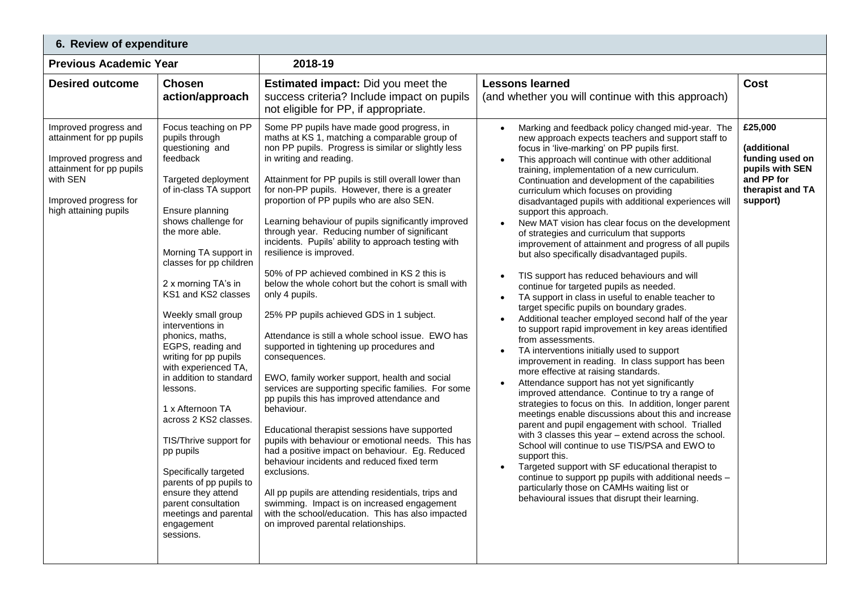| 6. Review of expenditure                                                                                                                                             |                                                                                                                                                                                                                                                                                                                                                                                                                                                                                                                                                                                                                                                                                                         |                                                                                                                                                                                                                                                                                                                                                                                                                                                                                                                                                                                                                                                                                                                                                                                                                                                                                                                                                                                                                                                                                                                                                                                                                                                                                                                                                                                                                   |                                                                                                                                                                                                                                                                                                                                                                                                                                                                                                                                                                                                                                                                                                                                                                                                                                                                                                                                                                                                                                                                                                                                                                                                                                                                                                                                                                                                                                                                                                                                                                                                                                                                                                                                                                       |                                                                                                            |  |  |
|----------------------------------------------------------------------------------------------------------------------------------------------------------------------|---------------------------------------------------------------------------------------------------------------------------------------------------------------------------------------------------------------------------------------------------------------------------------------------------------------------------------------------------------------------------------------------------------------------------------------------------------------------------------------------------------------------------------------------------------------------------------------------------------------------------------------------------------------------------------------------------------|-------------------------------------------------------------------------------------------------------------------------------------------------------------------------------------------------------------------------------------------------------------------------------------------------------------------------------------------------------------------------------------------------------------------------------------------------------------------------------------------------------------------------------------------------------------------------------------------------------------------------------------------------------------------------------------------------------------------------------------------------------------------------------------------------------------------------------------------------------------------------------------------------------------------------------------------------------------------------------------------------------------------------------------------------------------------------------------------------------------------------------------------------------------------------------------------------------------------------------------------------------------------------------------------------------------------------------------------------------------------------------------------------------------------|-----------------------------------------------------------------------------------------------------------------------------------------------------------------------------------------------------------------------------------------------------------------------------------------------------------------------------------------------------------------------------------------------------------------------------------------------------------------------------------------------------------------------------------------------------------------------------------------------------------------------------------------------------------------------------------------------------------------------------------------------------------------------------------------------------------------------------------------------------------------------------------------------------------------------------------------------------------------------------------------------------------------------------------------------------------------------------------------------------------------------------------------------------------------------------------------------------------------------------------------------------------------------------------------------------------------------------------------------------------------------------------------------------------------------------------------------------------------------------------------------------------------------------------------------------------------------------------------------------------------------------------------------------------------------------------------------------------------------------------------------------------------------|------------------------------------------------------------------------------------------------------------|--|--|
| <b>Previous Academic Year</b>                                                                                                                                        |                                                                                                                                                                                                                                                                                                                                                                                                                                                                                                                                                                                                                                                                                                         | 2018-19                                                                                                                                                                                                                                                                                                                                                                                                                                                                                                                                                                                                                                                                                                                                                                                                                                                                                                                                                                                                                                                                                                                                                                                                                                                                                                                                                                                                           |                                                                                                                                                                                                                                                                                                                                                                                                                                                                                                                                                                                                                                                                                                                                                                                                                                                                                                                                                                                                                                                                                                                                                                                                                                                                                                                                                                                                                                                                                                                                                                                                                                                                                                                                                                       |                                                                                                            |  |  |
| <b>Desired outcome</b>                                                                                                                                               | <b>Chosen</b><br>action/approach                                                                                                                                                                                                                                                                                                                                                                                                                                                                                                                                                                                                                                                                        | <b>Estimated impact:</b> Did you meet the<br>success criteria? Include impact on pupils<br>not eligible for PP, if appropriate.                                                                                                                                                                                                                                                                                                                                                                                                                                                                                                                                                                                                                                                                                                                                                                                                                                                                                                                                                                                                                                                                                                                                                                                                                                                                                   | <b>Lessons learned</b><br>(and whether you will continue with this approach)                                                                                                                                                                                                                                                                                                                                                                                                                                                                                                                                                                                                                                                                                                                                                                                                                                                                                                                                                                                                                                                                                                                                                                                                                                                                                                                                                                                                                                                                                                                                                                                                                                                                                          | <b>Cost</b>                                                                                                |  |  |
| Improved progress and<br>attainment for pp pupils<br>Improved progress and<br>attainment for pp pupils<br>with SEN<br>Improved progress for<br>high attaining pupils | Focus teaching on PP<br>pupils through<br>questioning and<br>feedback<br>Targeted deployment<br>of in-class TA support<br>Ensure planning<br>shows challenge for<br>the more able.<br>Morning TA support in<br>classes for pp children<br>2 x morning TA's in<br>KS1 and KS2 classes<br>Weekly small group<br>interventions in<br>phonics, maths,<br>EGPS, reading and<br>writing for pp pupils<br>with experienced TA,<br>in addition to standard<br>lessons.<br>1 x Afternoon TA<br>across 2 KS2 classes.<br>TIS/Thrive support for<br>pp pupils<br>Specifically targeted<br>parents of pp pupils to<br>ensure they attend<br>parent consultation<br>meetings and parental<br>engagement<br>sessions. | Some PP pupils have made good progress, in<br>maths at KS 1, matching a comparable group of<br>non PP pupils. Progress is similar or slightly less<br>in writing and reading.<br>Attainment for PP pupils is still overall lower than<br>for non-PP pupils. However, there is a greater<br>proportion of PP pupils who are also SEN.<br>Learning behaviour of pupils significantly improved<br>through year. Reducing number of significant<br>incidents. Pupils' ability to approach testing with<br>resilience is improved.<br>50% of PP achieved combined in KS 2 this is<br>below the whole cohort but the cohort is small with<br>only 4 pupils.<br>25% PP pupils achieved GDS in 1 subject.<br>Attendance is still a whole school issue. EWO has<br>supported in tightening up procedures and<br>consequences.<br>EWO, family worker support, health and social<br>services are supporting specific families. For some<br>pp pupils this has improved attendance and<br>behaviour.<br>Educational therapist sessions have supported<br>pupils with behaviour or emotional needs. This has<br>had a positive impact on behaviour. Eg. Reduced<br>behaviour incidents and reduced fixed term<br>exclusions.<br>All pp pupils are attending residentials, trips and<br>swimming. Impact is on increased engagement<br>with the school/education. This has also impacted<br>on improved parental relationships. | Marking and feedback policy changed mid-year. The<br>new approach expects teachers and support staff to<br>focus in 'live-marking' on PP pupils first.<br>This approach will continue with other additional<br>training, implementation of a new curriculum.<br>Continuation and development of the capabilities<br>curriculum which focuses on providing<br>disadvantaged pupils with additional experiences will<br>support this approach.<br>New MAT vision has clear focus on the development<br>of strategies and curriculum that supports<br>improvement of attainment and progress of all pupils<br>but also specifically disadvantaged pupils.<br>TIS support has reduced behaviours and will<br>continue for targeted pupils as needed.<br>TA support in class in useful to enable teacher to<br>target specific pupils on boundary grades.<br>Additional teacher employed second half of the year<br>to support rapid improvement in key areas identified<br>from assessments.<br>TA interventions initially used to support<br>$\bullet$<br>improvement in reading. In class support has been<br>more effective at raising standards.<br>Attendance support has not yet significantly<br>improved attendance. Continue to try a range of<br>strategies to focus on this. In addition, longer parent<br>meetings enable discussions about this and increase<br>parent and pupil engagement with school. Trialled<br>with 3 classes this year - extend across the school.<br>School will continue to use TIS/PSA and EWO to<br>support this.<br>Targeted support with SF educational therapist to<br>continue to support pp pupils with additional needs -<br>particularly those on CAMHs waiting list or<br>behavioural issues that disrupt their learning. | £25,000<br>(additional<br>funding used on<br>pupils with SEN<br>and PP for<br>therapist and TA<br>support) |  |  |